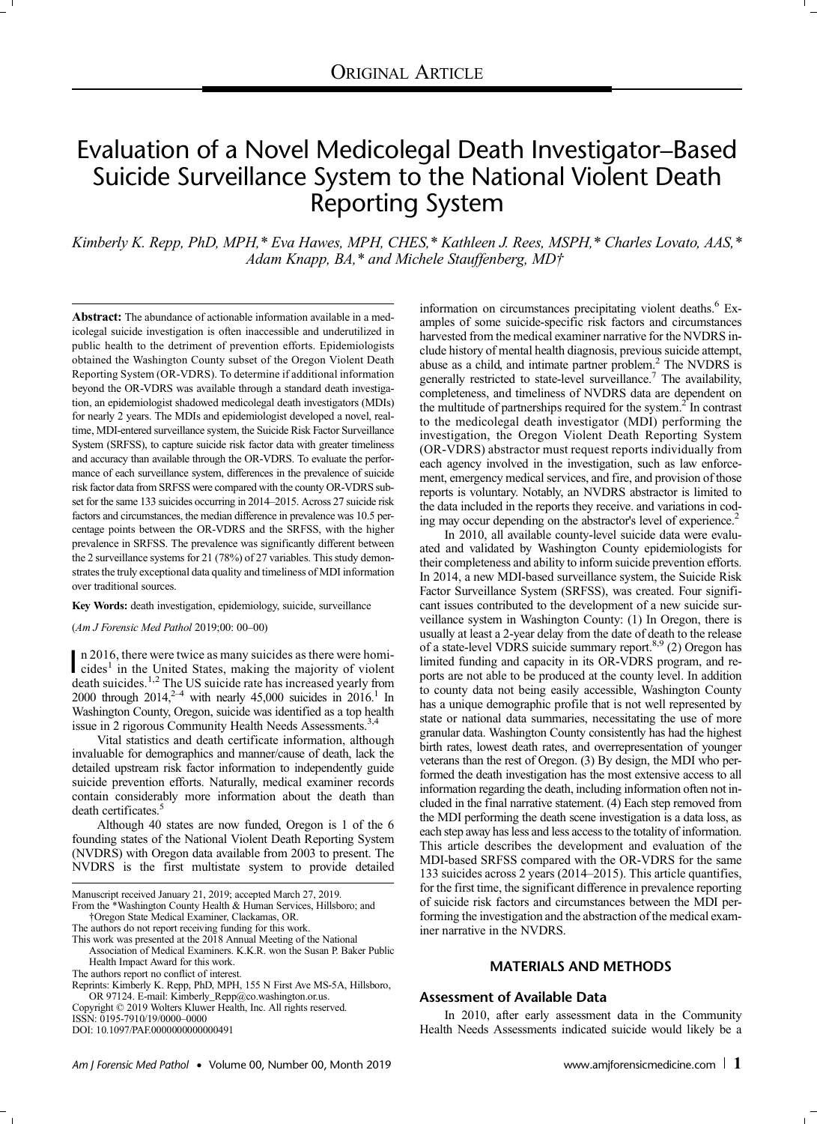# Evaluation of a Novel Medicolegal Death Investigator–Based Suicide Surveillance System to the National Violent Death Reporting System

Kimberly K. Repp, PhD, MPH,\* Eva Hawes, MPH, CHES,\* Kathleen J. Rees, MSPH,\* Charles Lovato, AAS,\* Adam Knapp, BA,\* and Michele Stauffenberg, MD†

Abstract: The abundance of actionable information available in a medicolegal suicide investigation is often inaccessible and underutilized in public health to the detriment of prevention efforts. Epidemiologists obtained the Washington County subset of the Oregon Violent Death Reporting System (OR-VDRS). To determine if additional information beyond the OR-VDRS was available through a standard death investigation, an epidemiologist shadowed medicolegal death investigators (MDIs) for nearly 2 years. The MDIs and epidemiologist developed a novel, realtime, MDI-entered surveillance system, the Suicide Risk Factor Surveillance System (SRFSS), to capture suicide risk factor data with greater timeliness and accuracy than available through the OR-VDRS. To evaluate the performance of each surveillance system, differences in the prevalence of suicide risk factor data from SRFSS were compared with the county OR-VDRS subset for the same 133 suicides occurring in 2014–2015. Across 27 suicide risk factors and circumstances, the median difference in prevalence was 10.5 percentage points between the OR-VDRS and the SRFSS, with the higher prevalence in SRFSS. The prevalence was significantly different between the 2 surveillance systems for 21 (78%) of 27 variables. This study demonstrates the truly exceptional data quality and timeliness of MDI information over traditional sources.

# Key Words: death investigation, epidemiology, suicide, surveillance

(Am J Forensic Med Pathol 2019;00: 00–00)

n 2016, there were twice as many suicides as there were homi-<br>cides<sup>1</sup> in the United States, making the majority of violent death suicides.<sup>1,2</sup> The US suicide rate has increased yearly from 2000 through  $2014$ ,<sup>2-4</sup> with nearly 45,000 suicides in  $2016$ .<sup>1</sup> In Washington County, Oregon, suicide was identified as a top health issue in 2 rigorous Community Health Needs Assessments.<sup>3,4</sup>

Vital statistics and death certificate information, although invaluable for demographics and manner/cause of death, lack the detailed upstream risk factor information to independently guide suicide prevention efforts. Naturally, medical examiner records contain considerably more information about the death than death certificates.<sup>5</sup>

Although 40 states are now funded, Oregon is 1 of the 6 founding states of the National Violent Death Reporting System (NVDRS) with Oregon data available from 2003 to present. The NVDRS is the first multistate system to provide detailed

Manuscript received January 21, 2019; accepted March 27, 2019. From the \*Washington County Health & Human Services, Hillsboro; and

†Oregon State Medical Examiner, Clackamas, OR.

The authors do not report receiving funding for this work.

This work was presented at the 2018 Annual Meeting of the National Association of Medical Examiners. K.K.R. won the Susan P. Baker Public Health Impact Award for this work.

The authors report no conflict of interest.

Copyright © 2019 Wolters Kluwer Health, Inc. All rights reserved.

ISSN: 0195-7910/19/0000–0000

DOI: 10.1097/PAF.0000000000000491

information on circumstances precipitating violent deaths.<sup>6</sup> Examples of some suicide-specific risk factors and circumstances harvested from the medical examiner narrative for the NVDRS include history of mental health diagnosis, previous suicide attempt, abuse as a child, and intimate partner problem.<sup>2</sup> The NVDRS is generally restricted to state-level surveillance.<sup>7</sup> The availability, completeness, and timeliness of NVDRS data are dependent on the multitude of partnerships required for the system.<sup>2</sup> In contrast to the medicolegal death investigator (MDI) performing the investigation, the Oregon Violent Death Reporting System (OR-VDRS) abstractor must request reports individually from each agency involved in the investigation, such as law enforcement, emergency medical services, and fire, and provision of those reports is voluntary. Notably, an NVDRS abstractor is limited to the data included in the reports they receive. and variations in coding may occur depending on the abstractor's level of experience.<sup>2</sup>

In 2010, all available county-level suicide data were evaluated and validated by Washington County epidemiologists for their completeness and ability to inform suicide prevention efforts. In 2014, a new MDI-based surveillance system, the Suicide Risk Factor Surveillance System (SRFSS), was created. Four significant issues contributed to the development of a new suicide surveillance system in Washington County: (1) In Oregon, there is usually at least a 2-year delay from the date of death to the release of a state-level VDRS suicide summary report.<sup>8,9</sup> (2) Oregon has limited funding and capacity in its OR-VDRS program, and reports are not able to be produced at the county level. In addition to county data not being easily accessible, Washington County has a unique demographic profile that is not well represented by state or national data summaries, necessitating the use of more granular data. Washington County consistently has had the highest birth rates, lowest death rates, and overrepresentation of younger veterans than the rest of Oregon. (3) By design, the MDI who performed the death investigation has the most extensive access to all information regarding the death, including information often not included in the final narrative statement. (4) Each step removed from the MDI performing the death scene investigation is a data loss, as each step away has less and less access to the totality of information. This article describes the development and evaluation of the MDI-based SRFSS compared with the OR-VDRS for the same 133 suicides across 2 years (2014–2015). This article quantifies, for the first time, the significant difference in prevalence reporting of suicide risk factors and circumstances between the MDI performing the investigation and the abstraction of the medical examiner narrative in the NVDRS.

# MATERIALS AND METHODS

# Assessment of Available Data

In 2010, after early assessment data in the Community Health Needs Assessments indicated suicide would likely be a

Reprints: Kimberly K. Repp, PhD, MPH, 155 N First Ave MS-5A, Hillsboro, OR 97124. E-mail: [Kimberly\\_Repp@co.washington.or.us.](mailto:Kimberly_Repp@co.washington.or.us)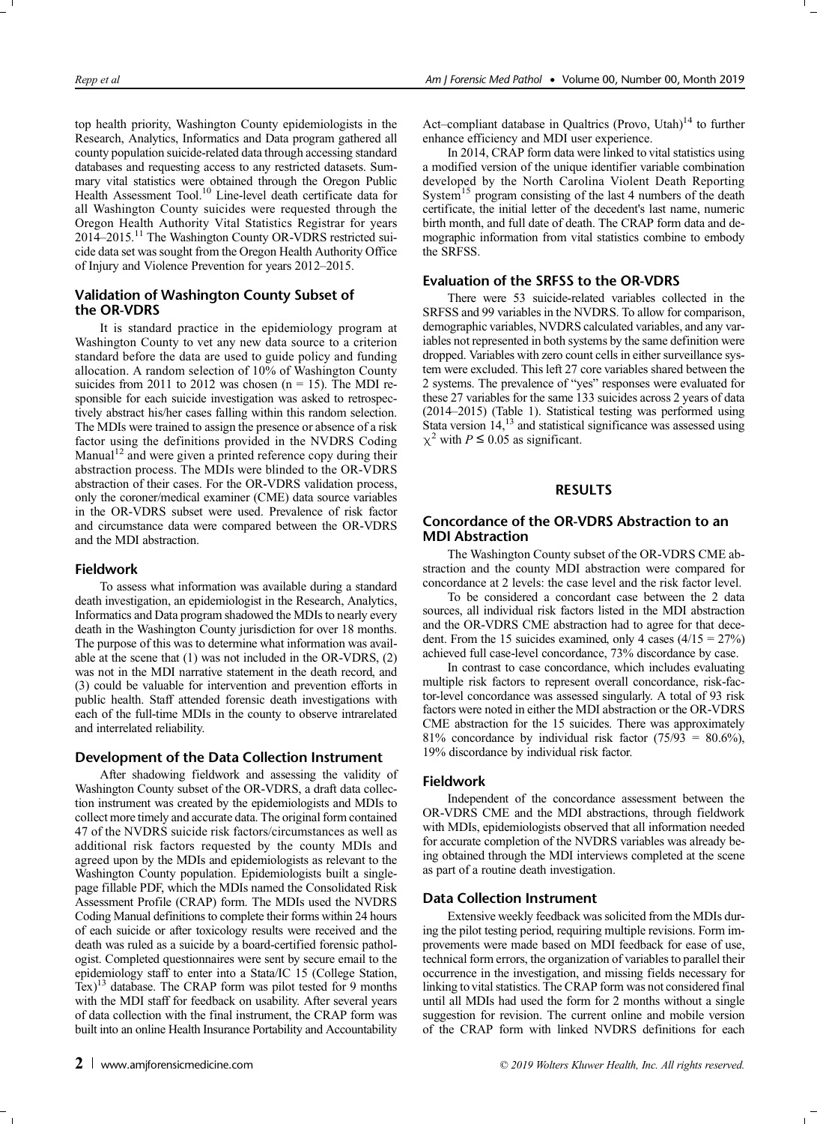top health priority, Washington County epidemiologists in the Research, Analytics, Informatics and Data program gathered all county population suicide-related data through accessing standard databases and requesting access to any restricted datasets. Summary vital statistics were obtained through the Oregon Public Health Assessment Tool.<sup>10</sup> Line-level death certificate data for all Washington County suicides were requested through the Oregon Health Authority Vital Statistics Registrar for years 2014–[2015.11](https://2014�2015.11) The Washington County OR-VDRS restricted suicide data set wassought from the Oregon Health Authority Office of Injury and Violence Prevention for years 2012–2015.

#### Validation of Washington County Subset of the OR-VDRS

It is standard practice in the epidemiology program at Washington County to vet any new data source to a criterion standard before the data are used to guide policy and funding allocation. A random selection of 10% of Washington County suicides from 2011 to 2012 was chosen  $(n = 15)$ . The MDI responsible for each suicide investigation was asked to retrospectively abstract his/her cases falling within this random selection. The MDIs were trained to assign the presence or absence of a risk factor using the definitions provided in the NVDRS Coding Manual<sup>12</sup> and were given a printed reference copy during their abstraction process. The MDIs were blinded to the OR-VDRS abstraction of their cases. For the OR-VDRS validation process, only the coroner/medical examiner (CME) data source variables in the OR-VDRS subset were used. Prevalence of risk factor and circumstance data were compared between the OR-VDRS and the MDI abstraction.

#### Fieldwork

To assess what information was available during a standard death investigation, an epidemiologist in the Research, Analytics, Informatics and Data program shadowed the MDIs to nearly every death in the Washington County jurisdiction for over 18 months. The purpose of this was to determine what information was available at the scene that (1) was not included in the OR-VDRS, (2) was not in the MDI narrative statement in the death record, and (3) could be valuable for intervention and prevention efforts in public health. Staff attended forensic death investigations with each of the full-time MDIs in the county to observe intrarelated and interrelated reliability.

#### Development of the Data Collection Instrument

After shadowing fieldwork and assessing the validity of Washington County subset of the OR-VDRS, a draft data collection instrument was created by the epidemiologists and MDIs to collect more timely and accurate data. The original form contained 47 of the NVDRS suicide risk factors/circumstances as well as additional risk factors requested by the county MDIs and agreed upon by the MDIs and epidemiologists as relevant to the Washington County population. Epidemiologists built a singlepage fillable PDF, which the MDIs named the Consolidated Risk Assessment Profile (CRAP) form. The MDIs used the NVDRS Coding Manual definitions to complete their forms within 24 hours of each suicide or after toxicology results were received and the death was ruled as a suicide by a board-certified forensic pathologist. Completed questionnaires were sent by secure email to the epidemiology staff to enter into a Stata/IC 15 (College Station, Tex)13 database. The CRAP form was pilot tested for 9 months with the MDI staff for feedback on usability. After several years of data collection with the final instrument, the CRAP form was built into an online Health Insurance Portability and Accountability

Act–compliant database in Qualtrics (Provo, Utah) $14$  to further enhance efficiency and MDI user experience.

In 2014, CRAP form data were linked to vital statistics using a modified version of the unique identifier variable combination developed by the North Carolina Violent Death Reporting System<sup>15</sup> program consisting of the last 4 numbers of the death certificate, the initial letter of the decedent's last name, numeric birth month, and full date of death. The CRAP form data and demographic information from vital statistics combine to embody the SRFSS.

### Evaluation of the SRFSS to the OR-VDRS

There were 53 suicide-related variables collected in the SRFSS and 99 variables in the NVDRS. To allow for comparison, demographic variables, NVDRS calculated variables, and any variables not represented in both systems by the same definition were dropped. Variables with zero count cells in either surveillance system were excluded. This left 27 core variables shared between the 2 systems. The prevalence of "yes" responses were evaluated for these 27 variables for the same 133 suicides across 2 years of data (2014–2015) (Table 1). Statistical testing was performed using Stata version 14,<sup>13</sup> and statistical significance was assessed using  $\chi^2$  with  $P \le 0.05$  as significant.

# RESULTS

# Concordance of the OR-VDRS Abstraction to an MDI Abstraction

The Washington County subset of the OR-VDRS CME abstraction and the county MDI abstraction were compared for concordance at 2 levels: the case level and the risk factor level.

To be considered a concordant case between the 2 data sources, all individual risk factors listed in the MDI abstraction and the OR-VDRS CME abstraction had to agree for that decedent. From the 15 suicides examined, only 4 cases  $(4/15 = 27%)$ achieved full case-level concordance, 73% discordance by case.

In contrast to case concordance, which includes evaluating multiple risk factors to represent overall concordance, risk-factor-level concordance was assessed singularly. A total of 93 risk factors were noted in either the MDI abstraction or the OR-VDRS CME abstraction for the 15 suicides. There was approximately 81% concordance by individual risk factor  $(75/93 = 80.6\%)$ , 19% discordance by individual risk factor.

#### Fieldwork

Independent of the concordance assessment between the OR-VDRS CME and the MDI abstractions, through fieldwork with MDIs, epidemiologists observed that all information needed for accurate completion of the NVDRS variables was already being obtained through the MDI interviews completed at the scene as part of a routine death investigation.

#### Data Collection Instrument

Extensive weekly feedback was solicited from the MDIs during the pilot testing period, requiring multiple revisions. Form improvements were made based on MDI feedback for ease of use, technical form errors, the organization of variables to parallel their occurrence in the investigation, and missing fields necessary for linking to vital statistics. The CRAP form was not considered final until all MDIs had used the form for 2 months without a single suggestion for revision. The current online and mobile version of the CRAP form with linked NVDRS definitions for each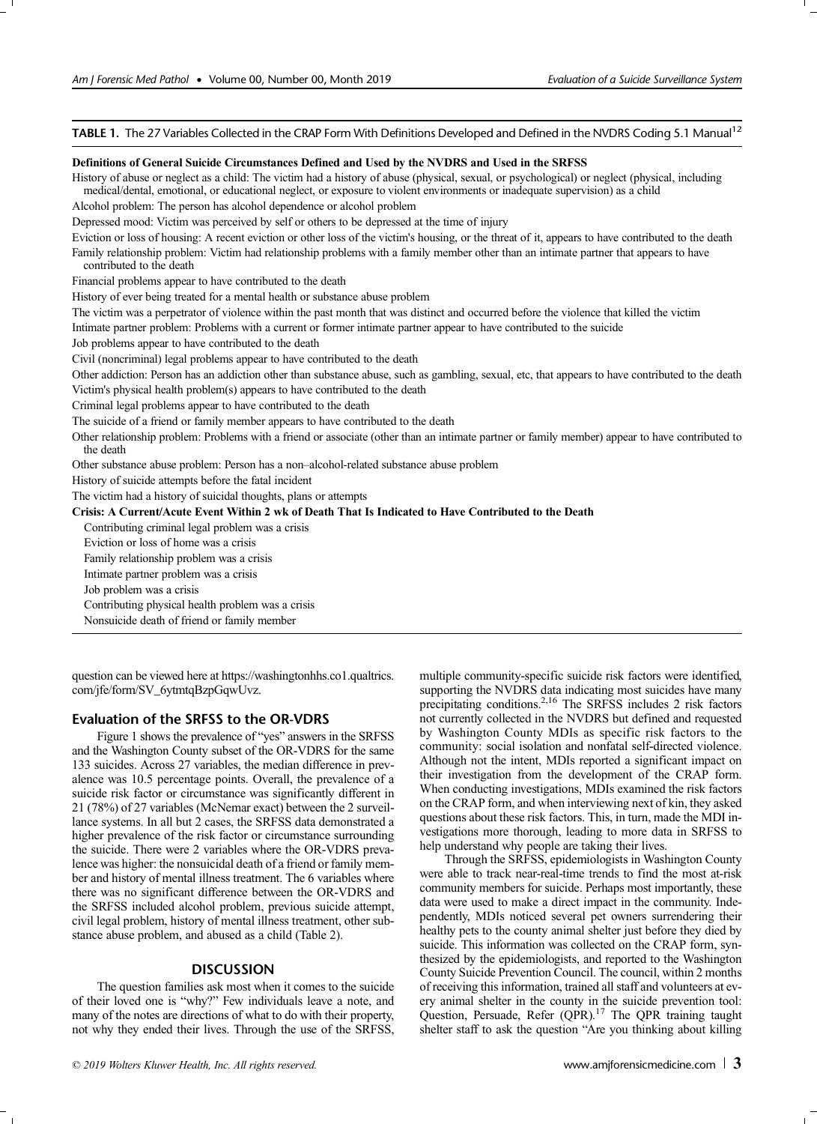TABLE 1. The 27 Variables Collected in the CRAP Form With Definitions Developed and Defined in the NVDRS Coding 5.1 Manual<sup>12</sup>

## Definitions of General Suicide Circumstances Defined and Used by the NVDRS and Used in the SRFSS

History of abuse or neglect as a child: The victim had a history of abuse (physical, sexual, or psychological) or neglect (physical, including medical/dental, emotional, or educational neglect, or exposure to violent environments or inadequate supervision) as a child Alcohol problem: The person has alcohol dependence or alcohol problem Depressed mood: Victim was perceived by self or others to be depressed at the time of injury Eviction or loss of housing: A recent eviction or other loss of the victim's housing, or the threat of it, appears to have contributed to the death Family relationship problem: Victim had relationship problems with a family member other than an intimate partner that appears to have contributed to the death Financial problems appear to have contributed to the death History of ever being treated for a mental health or substance abuse problem The victim was a perpetrator of violence within the past month that was distinct and occurred before the violence that killed the victim Intimate partner problem: Problems with a current or former intimate partner appear to have contributed to the suicide Job problems appear to have contributed to the death Civil (noncriminal) legal problems appear to have contributed to the death Other addiction: Person has an addiction other than substance abuse, such as gambling, sexual, etc, that appears to have contributed to the death Victim's physical health problem(s) appears to have contributed to the death Criminal legal problems appear to have contributed to the death The suicide of a friend or family member appears to have contributed to the death Other relationship problem: Problems with a friend or associate (other than an intimate partner or family member) appear to have contributed to the death Other substance abuse problem: Person has a non–alcohol-related substance abuse problem History of suicide attempts before the fatal incident The victim had a history of suicidal thoughts, plans or attempts Crisis: A Current/Acute Event Within 2 wk of Death That Is Indicated to Have Contributed to the Death Contributing criminal legal problem was a crisis Eviction or loss of home was a crisis Family relationship problem was a crisis Intimate partner problem was a crisis Job problem was a crisis Contributing physical health problem was a crisis Nonsuicide death of friend or family member

question can be viewed here at [https://washingtonhhs.co1.qualtrics.](https://washingtonhhs.co1.qualtrics.com/jfe/form/SV_6ytmtqBzpGqwUvz) [com/jfe/form/SV\\_6ytmtqBzpGqwUvz](https://washingtonhhs.co1.qualtrics.com/jfe/form/SV_6ytmtqBzpGqwUvz).

## Evaluation of the SRFSS to the OR-VDRS

Figure 1 shows the prevalence of "yes" answers in the SRFSS and the Washington County subset of the OR-VDRS for the same 133 suicides. Across 27 variables, the median difference in prevalence was 10.5 percentage points. Overall, the prevalence of a suicide risk factor or circumstance was significantly different in 21 (78%) of 27 variables (McNemar exact) between the 2 surveillance systems. In all but 2 cases, the SRFSS data demonstrated a higher prevalence of the risk factor or circumstance surrounding the suicide. There were 2 variables where the OR-VDRS prevalence was higher: the nonsuicidal death of a friend or family member and history of mental illness treatment. The 6 variables where there was no significant difference between the OR-VDRS and the SRFSS included alcohol problem, previous suicide attempt, civil legal problem, history of mental illness treatment, other substance abuse problem, and abused as a child (Table 2).

#### **DISCUSSION**

The question families ask most when it comes to the suicide of their loved one is "why?" Few individuals leave a note, and many of the notes are directions of what to do with their property, not why they ended their lives. Through the use of the SRFSS,

multiple community-specific suicide risk factors were identified, supporting the NVDRS data indicating most suicides have many precipitating conditions.<sup>2,16</sup> The SRFSS includes 2 risk factors not currently collected in the NVDRS but defined and requested by Washington County MDIs as specific risk factors to the community: social isolation and nonfatal self-directed violence. Although not the intent, MDIs reported a significant impact on their investigation from the development of the CRAP form. When conducting investigations, MDIs examined the risk factors on the CRAP form, and when interviewing next of kin, they asked questions about these risk factors. This, in turn, made the MDI investigations more thorough, leading to more data in SRFSS to help understand why people are taking their lives.

Through the SRFSS, epidemiologists in Washington County were able to track near-real-time trends to find the most at-risk community members for suicide. Perhaps most importantly, these data were used to make a direct impact in the community. Independently, MDIs noticed several pet owners surrendering their healthy pets to the county animal shelter just before they died by suicide. This information was collected on the CRAP form, synthesized by the epidemiologists, and reported to the Washington County Suicide Prevention Council. The council, within 2 months of receiving thisinformation, trained all staff and volunteers at every animal shelter in the county in the suicide prevention tool: Question, Persuade, Refer (QPR).<sup>17</sup> The QPR training taught shelter staff to ask the question "Are you thinking about killing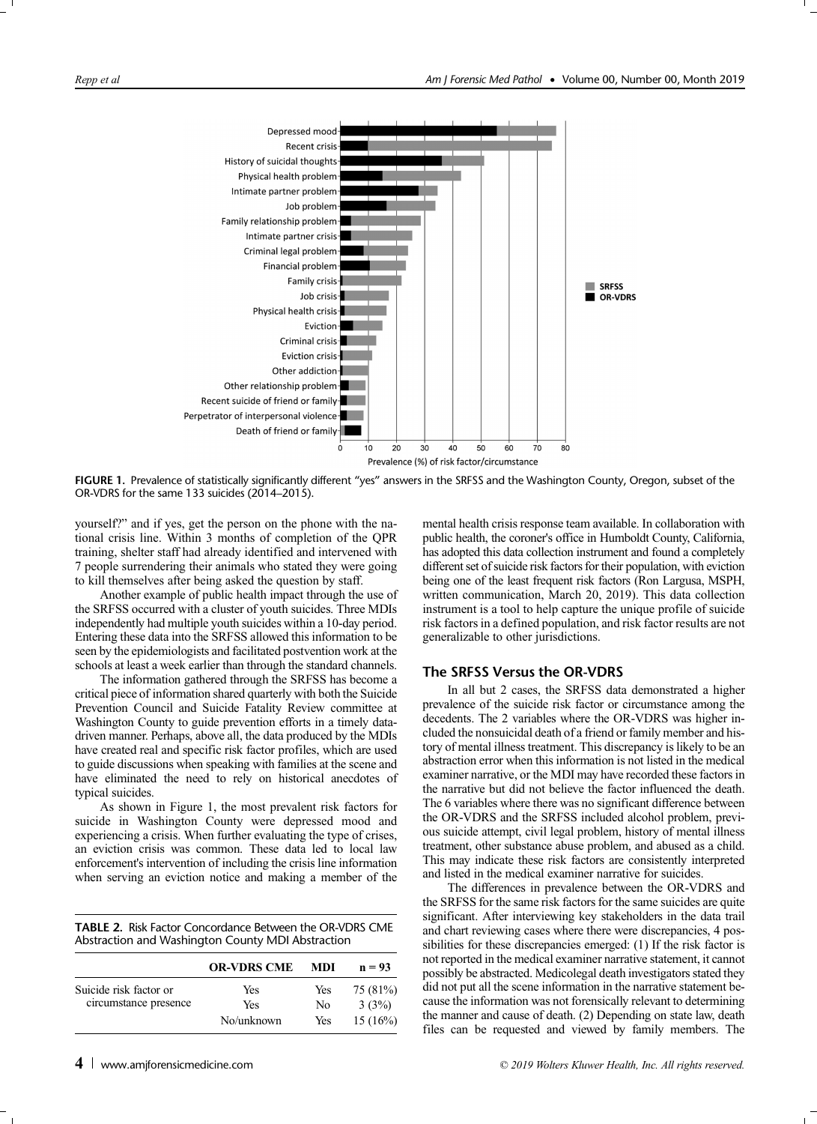

FIGURE 1. Prevalence of statistically significantly different "yes" answers in the SRFSS and the Washington County, Oregon, subset of the OR-VDRS for the same 133 suicides (2014–2015).

yourself?" and if yes, get the person on the phone with the national crisis line. Within 3 months of completion of the QPR training, shelter staff had already identified and intervened with 7 people surrendering their animals who stated they were going to kill themselves after being asked the question by staff.

Another example of public health impact through the use of the SRFSS occurred with a cluster of youth suicides. Three MDIs independently had multiple youth suicides within a 10-day period. Entering these data into the SRFSS allowed this information to be seen by the epidemiologists and facilitated postvention work at the schools at least a week earlier than through the standard channels.

The information gathered through the SRFSS has become a critical piece of information shared quarterly with both the Suicide Prevention Council and Suicide Fatality Review committee at Washington County to guide prevention efforts in a timely datadriven manner. Perhaps, above all, the data produced by the MDIs have created real and specific risk factor profiles, which are used to guide discussions when speaking with families at the scene and have eliminated the need to rely on historical anecdotes of typical suicides.

As shown in Figure 1, the most prevalent risk factors for suicide in Washington County were depressed mood and experiencing a crisis. When further evaluating the type of crises, an eviction crisis was common. These data led to local law enforcement's intervention of including the crisis line information when serving an eviction notice and making a member of the

TABLE 2. Risk Factor Concordance Between the OR-VDRS CME Abstraction and Washington County MDI Abstraction

|                        | <b>OR-VDRS CME</b> | MDI | $n = 93$ |
|------------------------|--------------------|-----|----------|
| Suicide risk factor or | Yes                | Yes | 75 (81%) |
| circumstance presence  | Yes                | No  | 3(3%)    |
|                        | No/unknown         | Yes | 15(16%)  |

mental health crisis response team available. In collaboration with public health, the coroner's office in Humboldt County, California, has adopted this data collection instrument and found a completely different set of suicide risk factors for their population, with eviction being one of the least frequent risk factors (Ron Largusa, MSPH, written communication, March 20, 2019). This data collection instrument is a tool to help capture the unique profile of suicide risk factors in a defined population, and risk factor results are not generalizable to other jurisdictions.

# The SRFSS Versus the OR-VDRS

In all but 2 cases, the SRFSS data demonstrated a higher prevalence of the suicide risk factor or circumstance among the decedents. The 2 variables where the OR-VDRS was higher included the nonsuicidal death of a friend or family member and history of mental illness treatment. This discrepancy is likely to be an abstraction error when this information is not listed in the medical examiner narrative, or the MDI may have recorded these factors in the narrative but did not believe the factor influenced the death. The 6 variables where there was no significant difference between the OR-VDRS and the SRFSS included alcohol problem, previous suicide attempt, civil legal problem, history of mental illness treatment, other substance abuse problem, and abused as a child. This may indicate these risk factors are consistently interpreted and listed in the medical examiner narrative for suicides.

The differences in prevalence between the OR-VDRS and the SRFSS for the same risk factors for the same suicides are quite significant. After interviewing key stakeholders in the data trail and chart reviewing cases where there were discrepancies, 4 possibilities for these discrepancies emerged: (1) If the risk factor is not reported in the medical examiner narrative statement, it cannot possibly be abstracted. Medicolegal death investigators stated they did not put all the scene information in the narrative statement because the information was not forensically relevant to determining the manner and cause of death. (2) Depending on state law, death files can be requested and viewed by family members. The